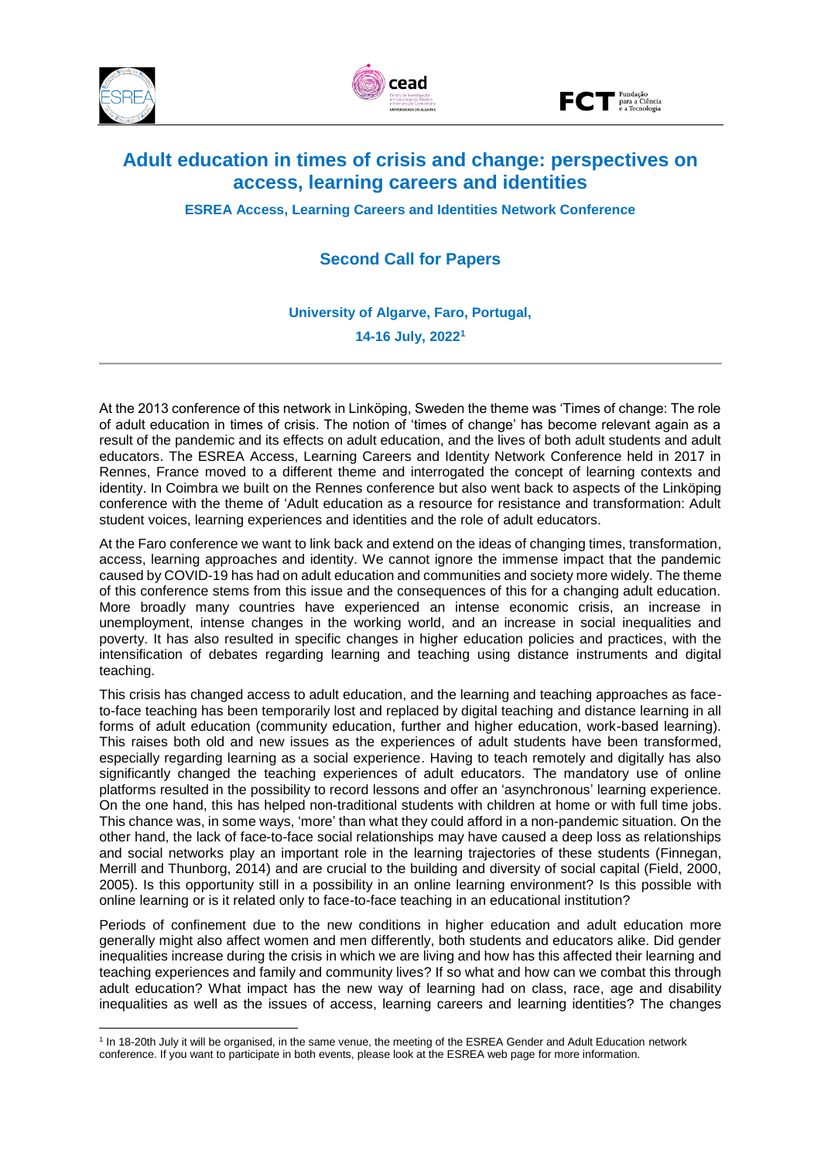

**.** 





# **Adult education in times of crisis and change: perspectives on access, learning careers and identities**

**ESREA Access, Learning Careers and Identities Network Conference**

## **Second Call for Papers**

**University of Algarve, Faro, Portugal, 14-16 July, 2022<sup>1</sup>**

At the 2013 conference of this network in Linköping, Sweden the theme was 'Times of change: The role of adult education in times of crisis. The notion of 'times of change' has become relevant again as a result of the pandemic and its effects on adult education, and the lives of both adult students and adult educators. The ESREA Access, Learning Careers and Identity Network Conference held in 2017 in Rennes, France moved to a different theme and interrogated the concept of learning contexts and identity. In Coimbra we built on the Rennes conference but also went back to aspects of the Linköping conference with the theme of 'Adult education as a resource for resistance and transformation: Adult student voices, learning experiences and identities and the role of adult educators.

At the Faro conference we want to link back and extend on the ideas of changing times, transformation, access, learning approaches and identity. We cannot ignore the immense impact that the pandemic caused by COVID-19 has had on adult education and communities and society more widely. The theme of this conference stems from this issue and the consequences of this for a changing adult education. More broadly many countries have experienced an intense economic crisis, an increase in unemployment, intense changes in the working world, and an increase in social inequalities and poverty. It has also resulted in specific changes in higher education policies and practices, with the intensification of debates regarding learning and teaching using distance instruments and digital teaching.

This crisis has changed access to adult education, and the learning and teaching approaches as faceto-face teaching has been temporarily lost and replaced by digital teaching and distance learning in all forms of adult education (community education, further and higher education, work-based learning). This raises both old and new issues as the experiences of adult students have been transformed, especially regarding learning as a social experience. Having to teach remotely and digitally has also significantly changed the teaching experiences of adult educators. The mandatory use of online platforms resulted in the possibility to record lessons and offer an 'asynchronous' learning experience. On the one hand, this has helped non-traditional students with children at home or with full time jobs. This chance was, in some ways, 'more' than what they could afford in a non-pandemic situation. On the other hand, the lack of face-to-face social relationships may have caused a deep loss as relationships and social networks play an important role in the learning trajectories of these students (Finnegan, Merrill and Thunborg, 2014) and are crucial to the building and diversity of social capital (Field, 2000, 2005). Is this opportunity still in a possibility in an online learning environment? Is this possible with online learning or is it related only to face-to-face teaching in an educational institution?

Periods of confinement due to the new conditions in higher education and adult education more generally might also affect women and men differently, both students and educators alike. Did gender inequalities increase during the crisis in which we are living and how has this affected their learning and teaching experiences and family and community lives? If so what and how can we combat this through adult education? What impact has the new way of learning had on class, race, age and disability inequalities as well as the issues of access, learning careers and learning identities? The changes

<sup>&</sup>lt;sup>1</sup> In 18-20th July it will be organised, in the same venue, the meeting of the ESREA Gender and Adult Education network conference. If you want to participate in both events, please look at the ESREA web page for more information.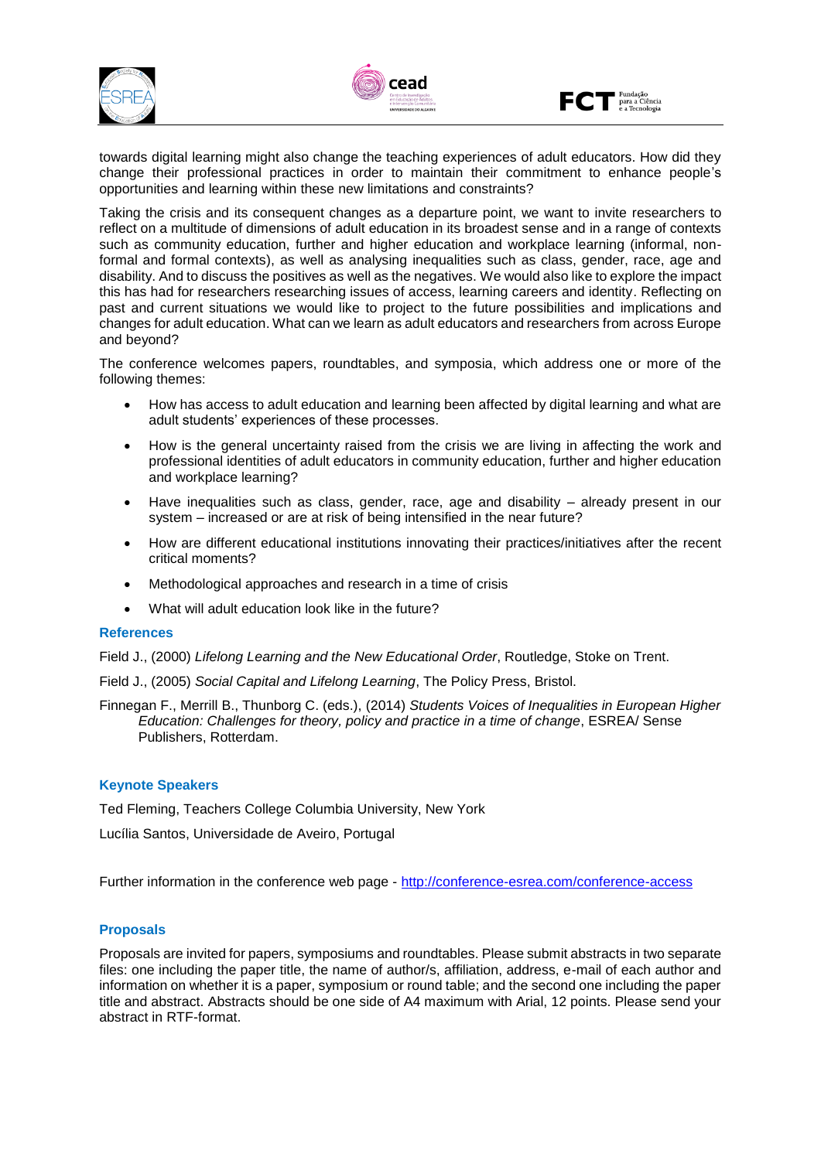





towards digital learning might also change the teaching experiences of adult educators. How did they change their professional practices in order to maintain their commitment to enhance people's opportunities and learning within these new limitations and constraints?

Taking the crisis and its consequent changes as a departure point, we want to invite researchers to reflect on a multitude of dimensions of adult education in its broadest sense and in a range of contexts such as community education, further and higher education and workplace learning (informal, nonformal and formal contexts), as well as analysing inequalities such as class, gender, race, age and disability. And to discuss the positives as well as the negatives. We would also like to explore the impact this has had for researchers researching issues of access, learning careers and identity. Reflecting on past and current situations we would like to project to the future possibilities and implications and changes for adult education. What can we learn as adult educators and researchers from across Europe and beyond?

The conference welcomes papers, roundtables, and symposia, which address one or more of the following themes:

- How has access to adult education and learning been affected by digital learning and what are adult students' experiences of these processes.
- How is the general uncertainty raised from the crisis we are living in affecting the work and professional identities of adult educators in community education, further and higher education and workplace learning?
- Have inequalities such as class, gender, race, age and disability  $-$  already present in our system – increased or are at risk of being intensified in the near future?
- How are different educational institutions innovating their practices/initiatives after the recent critical moments?
- Methodological approaches and research in a time of crisis
- What will adult education look like in the future?

## **References**

Field J., (2000) *Lifelong Learning and the New Educational Order*, Routledge, Stoke on Trent.

Field J., (2005) *Social Capital and Lifelong Learning*, The Policy Press, Bristol.

Finnegan F., Merrill B., Thunborg C. (eds.), (2014) *Students Voices of Inequalities in European Higher Education: Challenges for theory, policy and practice in a time of change*, ESREA/ Sense Publishers, Rotterdam.

## **Keynote Speakers**

Ted Fleming, Teachers College Columbia University, New York

Lucília Santos, Universidade de Aveiro, Portugal

Further information in the conference web page - <http://conference-esrea.com/conference-access>

## **Proposals**

Proposals are invited for papers, symposiums and roundtables. Please submit abstracts in two separate files: one including the paper title, the name of author/s, affiliation, address, e-mail of each author and information on whether it is a paper, symposium or round table; and the second one including the paper title and abstract. Abstracts should be one side of A4 maximum with Arial, 12 points. Please send your abstract in RTF-format.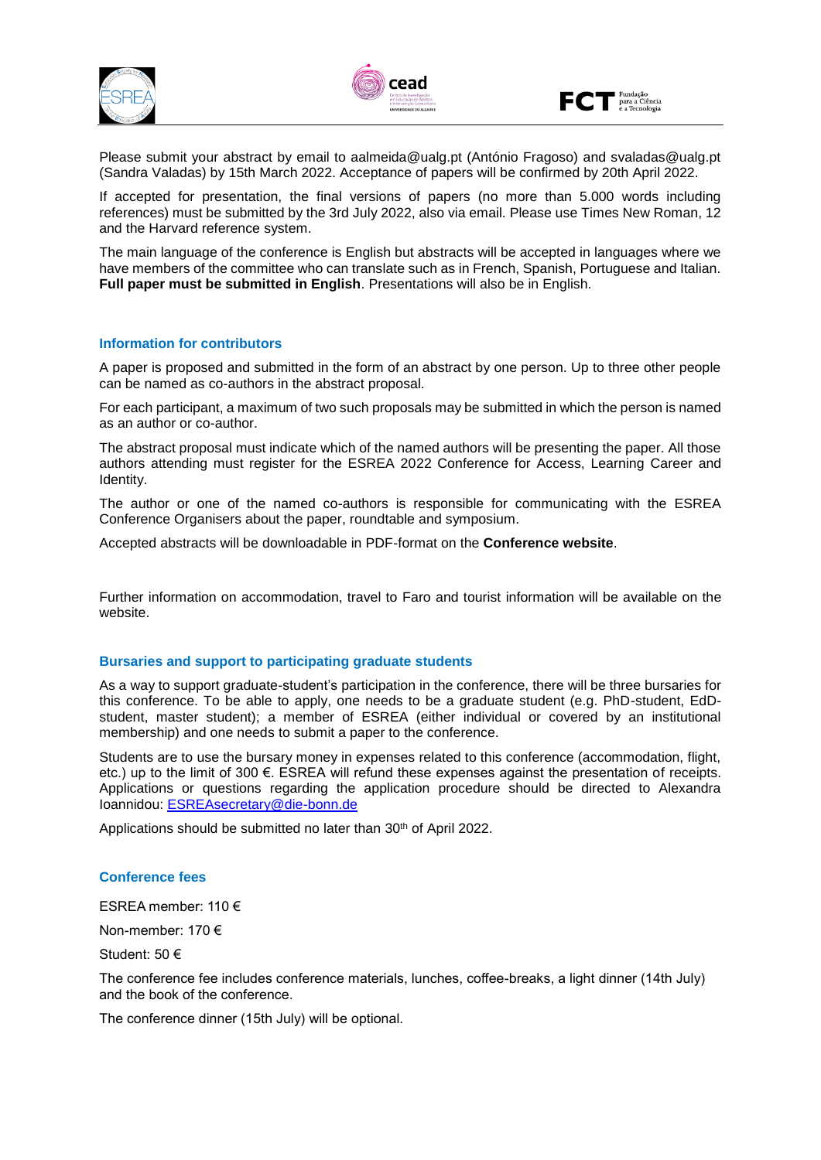





Please submit your abstract by email to aalmeida@ualg.pt (António Fragoso) and svaladas@ualg.pt (Sandra Valadas) by 15th March 2022. Acceptance of papers will be confirmed by 20th April 2022.

If accepted for presentation, the final versions of papers (no more than 5.000 words including references) must be submitted by the 3rd July 2022, also via email. Please use Times New Roman, 12 and the Harvard reference system.

The main language of the conference is English but abstracts will be accepted in languages where we have members of the committee who can translate such as in French, Spanish, Portuguese and Italian. **Full paper must be submitted in English**. Presentations will also be in English.

## **Information for contributors**

A paper is proposed and submitted in the form of an abstract by one person. Up to three other people can be named as co-authors in the abstract proposal.

For each participant, a maximum of two such proposals may be submitted in which the person is named as an author or co-author.

The abstract proposal must indicate which of the named authors will be presenting the paper. All those authors attending must register for the ESREA 2022 Conference for Access, Learning Career and Identity.

The author or one of the named co-authors is responsible for communicating with the ESREA Conference Organisers about the paper, roundtable and symposium.

Accepted abstracts will be downloadable in PDF-format on the **Conference website**.

Further information on accommodation, travel to Faro and tourist information will be available on the website.

## **Bursaries and support to participating graduate students**

As a way to support graduate-student's participation in the conference, there will be three bursaries for this conference. To be able to apply, one needs to be a graduate student (e.g. PhD-student, EdDstudent, master student); a member of ESREA (either individual or covered by an institutional membership) and one needs to submit a paper to the conference.

Students are to use the bursary money in expenses related to this conference (accommodation, flight, etc.) up to the limit of 300 €. ESREA will refund these expenses against the presentation of receipts. Applications or questions regarding the application procedure should be directed to Alexandra Ioannidou: [ESREAsecretary@die-bonn.de](mailto:ESREAsecretary@die-bonn.de)

Applications should be submitted no later than 30<sup>th</sup> of April 2022.

## **Conference fees**

ESREA member: 110 €

Non-member: 170 €

Student: 50 €

The conference fee includes conference materials, lunches, coffee-breaks, a light dinner (14th July) and the book of the conference.

The conference dinner (15th July) will be optional.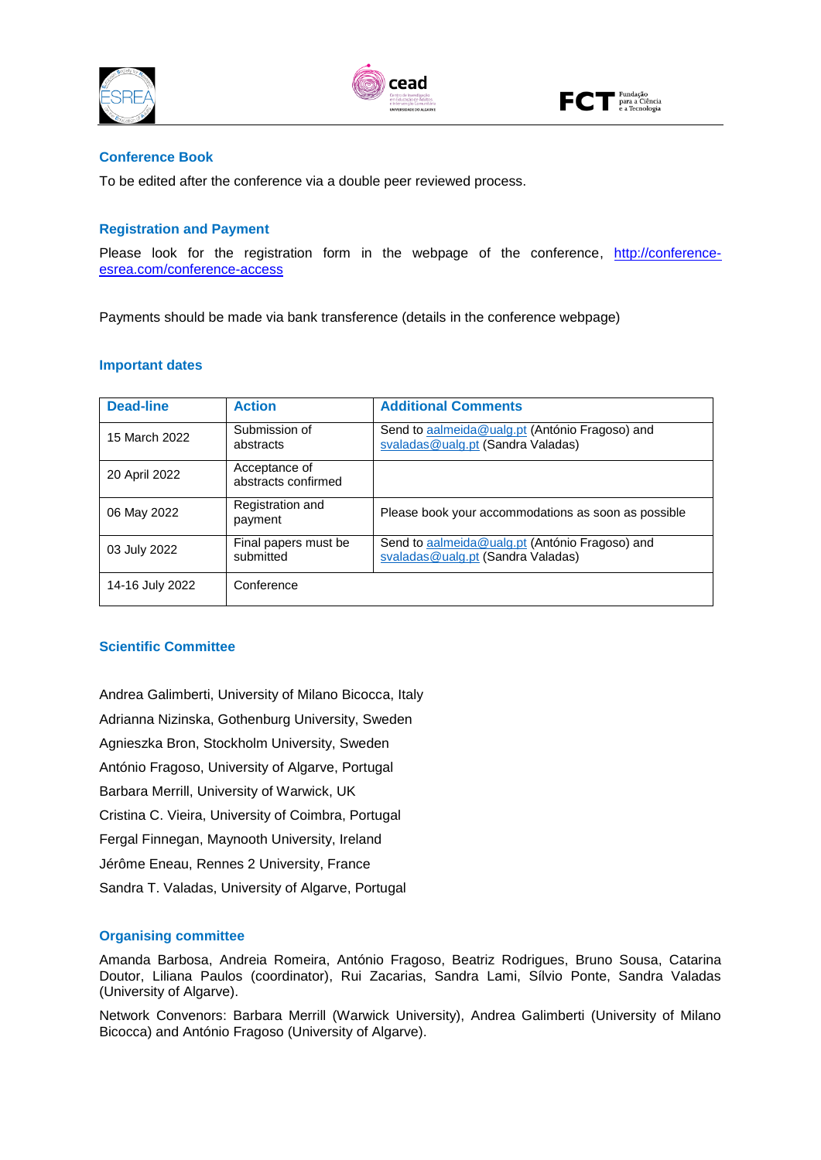





## **Conference Book**

To be edited after the conference via a double peer reviewed process.

## **Registration and Payment**

Please look for the registration form in the webpage of the conference, [http://conference](http://conference-esrea.com/conference-access)[esrea.com/conference-access](http://conference-esrea.com/conference-access)

Payments should be made via bank transference (details in the conference webpage)

#### **Important dates**

| <b>Dead-line</b> | <b>Action</b>                        | <b>Additional Comments</b>                                                          |
|------------------|--------------------------------------|-------------------------------------------------------------------------------------|
| 15 March 2022    | Submission of<br>abstracts           | Send to aalmeida@ualg.pt (António Fragoso) and<br>svaladas@ualg.pt (Sandra Valadas) |
| 20 April 2022    | Acceptance of<br>abstracts confirmed |                                                                                     |
| 06 May 2022      | Registration and<br>payment          | Please book your accommodations as soon as possible                                 |
| 03 July 2022     | Final papers must be<br>submitted    | Send to aalmeida@ualg.pt (António Fragoso) and<br>svaladas@ualg.pt (Sandra Valadas) |
| 14-16 July 2022  | Conference                           |                                                                                     |

## **Scientific Committee**

Andrea Galimberti, University of Milano Bicocca, Italy Adrianna Nizinska, Gothenburg University, Sweden Agnieszka Bron, Stockholm University, Sweden António Fragoso, University of Algarve, Portugal Barbara Merrill, University of Warwick, UK Cristina C. Vieira, University of Coimbra, Portugal Fergal Finnegan, Maynooth University, Ireland Jérôme Eneau, Rennes 2 University, France Sandra T. Valadas, University of Algarve, Portugal

## **Organising committee**

Amanda Barbosa, Andreia Romeira, António Fragoso, Beatriz Rodrigues, Bruno Sousa, Catarina Doutor, Liliana Paulos (coordinator), Rui Zacarias, Sandra Lami, Sílvio Ponte, Sandra Valadas (University of Algarve).

Network Convenors: Barbara Merrill (Warwick University), Andrea Galimberti (University of Milano Bicocca) and António Fragoso (University of Algarve).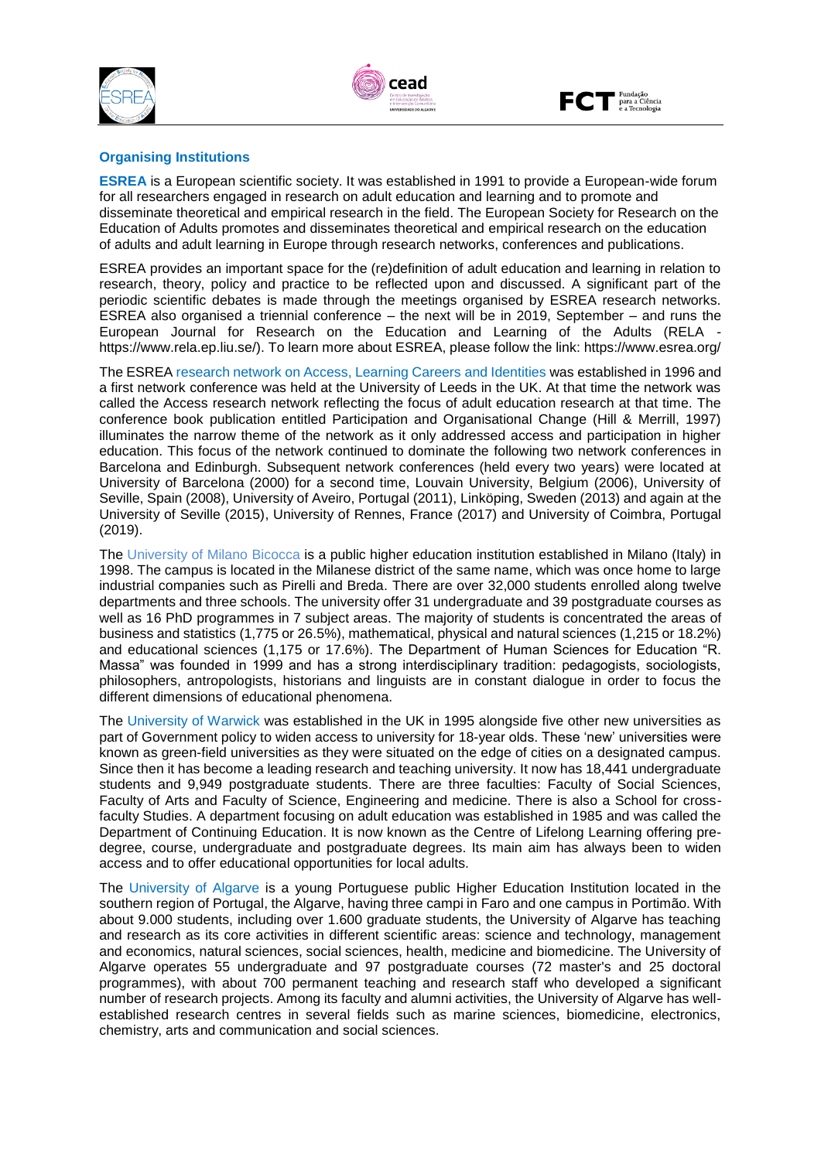





## **Organising Institutions**

**ESREA** is a European scientific society. It was established in 1991 to provide a European-wide forum for all researchers engaged in research on adult education and learning and to promote and disseminate theoretical and empirical research in the field. The European Society for Research on the Education of Adults promotes and disseminates theoretical and empirical research on the education of adults and adult learning in Europe through research networks, conferences and publications.

ESREA provides an important space for the (re)definition of adult education and learning in relation to research, theory, policy and practice to be reflected upon and discussed. A significant part of the periodic scientific debates is made through the meetings organised by ESREA research networks. ESREA also organised a triennial conference – the next will be in 2019, September – and runs the European Journal for Research on the Education and Learning of the Adults (RELA https://www.rela.ep.liu.se/). To learn more about ESREA, please follow the link: https://www.esrea.org/

The ESREA research network on Access, Learning Careers and Identities was established in 1996 and a first network conference was held at the University of Leeds in the UK. At that time the network was called the Access research network reflecting the focus of adult education research at that time. The conference book publication entitled Participation and Organisational Change (Hill & Merrill, 1997) illuminates the narrow theme of the network as it only addressed access and participation in higher education. This focus of the network continued to dominate the following two network conferences in Barcelona and Edinburgh. Subsequent network conferences (held every two years) were located at University of Barcelona (2000) for a second time, Louvain University, Belgium (2006), University of Seville, Spain (2008), University of Aveiro, Portugal (2011), Linköping, Sweden (2013) and again at the University of Seville (2015), University of Rennes, France (2017) and University of Coimbra, Portugal (2019).

The University of Milano Bicocca is a public higher education institution established in Milano (Italy) in 1998. The campus is located in the Milanese district of the same name, which was once home to large industrial companies such as Pirelli and Breda. There are over 32,000 students enrolled along twelve departments and three schools. The university offer 31 undergraduate and 39 postgraduate courses as well as 16 PhD programmes in 7 subject areas. The majority of students is concentrated the areas of business and statistics (1,775 or 26.5%), mathematical, physical and natural sciences (1,215 or 18.2%) and educational sciences (1,175 or 17.6%). The Department of Human Sciences for Education "R. Massa" was founded in 1999 and has a strong interdisciplinary tradition: pedagogists, sociologists, philosophers, antropologists, historians and linguists are in constant dialogue in order to focus the different dimensions of educational phenomena.

The University of Warwick was established in the UK in 1995 alongside five other new universities as part of Government policy to widen access to university for 18-year olds. These 'new' universities were known as green-field universities as they were situated on the edge of cities on a designated campus. Since then it has become a leading research and teaching university. It now has 18,441 undergraduate students and 9,949 postgraduate students. There are three faculties: Faculty of Social Sciences, Faculty of Arts and Faculty of Science, Engineering and medicine. There is also a School for crossfaculty Studies. A department focusing on adult education was established in 1985 and was called the Department of Continuing Education. It is now known as the Centre of Lifelong Learning offering predegree, course, undergraduate and postgraduate degrees. Its main aim has always been to widen access and to offer educational opportunities for local adults.

The University of Algarve is a young Portuguese public Higher Education Institution located in the southern region of Portugal, the Algarve, having three campi in Faro and one campus in Portimão. With about 9.000 students, including over 1.600 graduate students, the University of Algarve has teaching and research as its core activities in different scientific areas: science and technology, management and economics, natural sciences, social sciences, health, medicine and biomedicine. The University of Algarve operates 55 undergraduate and 97 postgraduate courses (72 master's and 25 doctoral programmes), with about 700 permanent teaching and research staff who developed a significant number of research projects. Among its faculty and alumni activities, the University of Algarve has wellestablished research centres in several fields such as marine sciences, biomedicine, electronics, chemistry, arts and communication and social sciences.